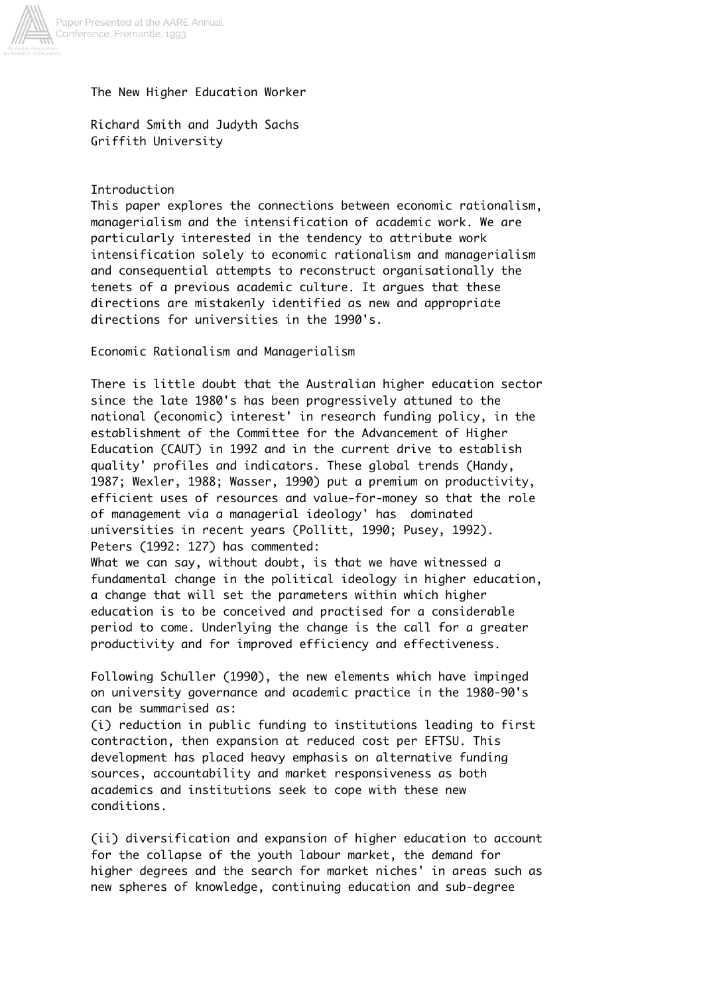

The New Higher Education Worker

Richard Smith and Judyth Sachs Griffith University

Introduction

This paper explores the connections between economic rationalism, managerialism and the intensification of academic work. We are particularly interested in the tendency to attribute work intensification solely to economic rationalism and managerialism and consequential attempts to reconstruct organisationally the tenets of a previous academic culture. It argues that these directions are mistakenly identified as new and appropriate directions for universities in the 1990's.

Economic Rationalism and Managerialism

There is little doubt that the Australian higher education sector since the late 1980's has been progressively attuned to the national (economic) interest' in research funding policy, in the establishment of the Committee for the Advancement of Higher Education (CAUT) in 1992 and in the current drive to establish quality' profiles and indicators. These global trends (Handy, 1987; Wexler, 1988; Wasser, 1990) put a premium on productivity, efficient uses of resources and value-for-money so that the role of management via a managerial ideology' has dominated universities in recent years (Pollitt, 1990; Pusey, 1992). Peters (1992: 127) has commented:

What we can say, without doubt, is that we have witnessed a fundamental change in the political ideology in higher education, a change that will set the parameters within which higher education is to be conceived and practised for a considerable period to come. Underlying the change is the call for a greater productivity and for improved efficiency and effectiveness.

Following Schuller (1990), the new elements which have impinged on university governance and academic practice in the 1980-90's can be summarised as:

(i) reduction in public funding to institutions leading to first contraction, then expansion at reduced cost per EFTSU. This development has placed heavy emphasis on alternative funding sources, accountability and market responsiveness as both academics and institutions seek to cope with these new conditions.

(ii) diversification and expansion of higher education to account for the collapse of the youth labour market, the demand for higher degrees and the search for market niches' in areas such as new spheres of knowledge, continuing education and sub-degree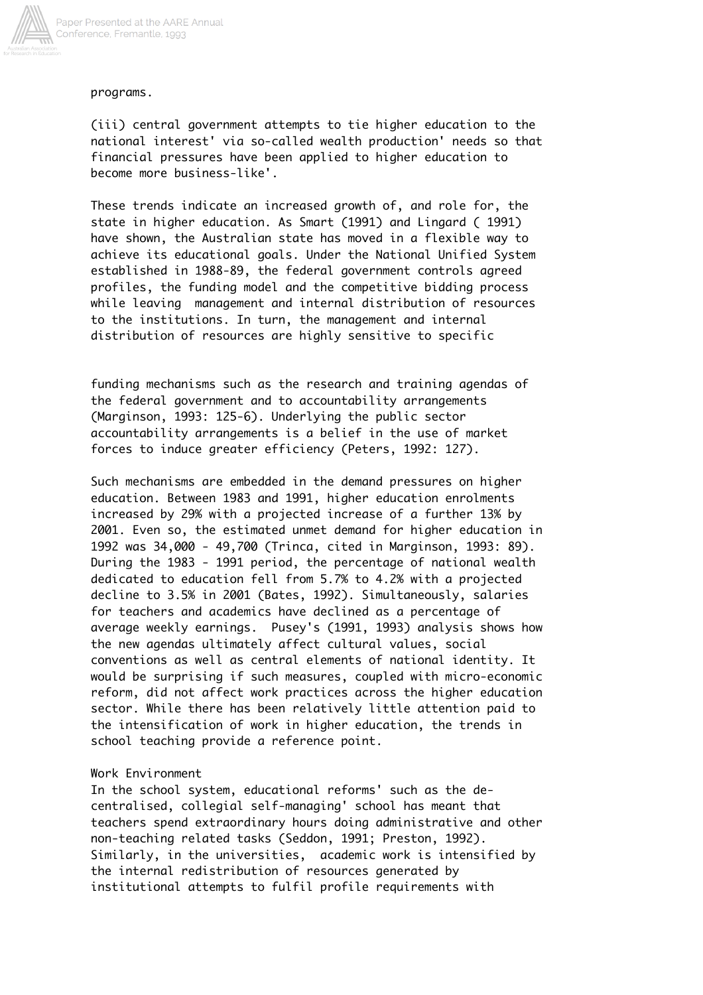

programs.

(iii) central government attempts to tie higher education to the national interest' via so-called wealth production' needs so that financial pressures have been applied to higher education to become more business-like'.

These trends indicate an increased growth of, and role for, the state in higher education. As Smart (1991) and Lingard ( 1991) have shown, the Australian state has moved in a flexible way to achieve its educational goals. Under the National Unified System established in 1988-89, the federal government controls agreed profiles, the funding model and the competitive bidding process while leaving management and internal distribution of resources to the institutions. In turn, the management and internal distribution of resources are highly sensitive to specific

funding mechanisms such as the research and training agendas of the federal government and to accountability arrangements (Marginson, 1993: 125-6). Underlying the public sector accountability arrangements is a belief in the use of market forces to induce greater efficiency (Peters, 1992: 127).

Such mechanisms are embedded in the demand pressures on higher education. Between 1983 and 1991, higher education enrolments increased by 29% with a projected increase of a further 13% by 2001. Even so, the estimated unmet demand for higher education in 1992 was 34,000 - 49,700 (Trinca, cited in Marginson, 1993: 89). During the 1983 - 1991 period, the percentage of national wealth dedicated to education fell from 5.7% to 4.2% with a projected decline to 3.5% in 2001 (Bates, 1992). Simultaneously, salaries for teachers and academics have declined as a percentage of average weekly earnings. Pusey's (1991, 1993) analysis shows how the new agendas ultimately affect cultural values, social conventions as well as central elements of national identity. It would be surprising if such measures, coupled with micro-economic reform, did not affect work practices across the higher education sector. While there has been relatively little attention paid to the intensification of work in higher education, the trends in school teaching provide a reference point.

## Work Environment

In the school system, educational reforms' such as the decentralised, collegial self-managing' school has meant that teachers spend extraordinary hours doing administrative and other non-teaching related tasks (Seddon, 1991; Preston, 1992). Similarly, in the universities, academic work is intensified by the internal redistribution of resources generated by institutional attempts to fulfil profile requirements with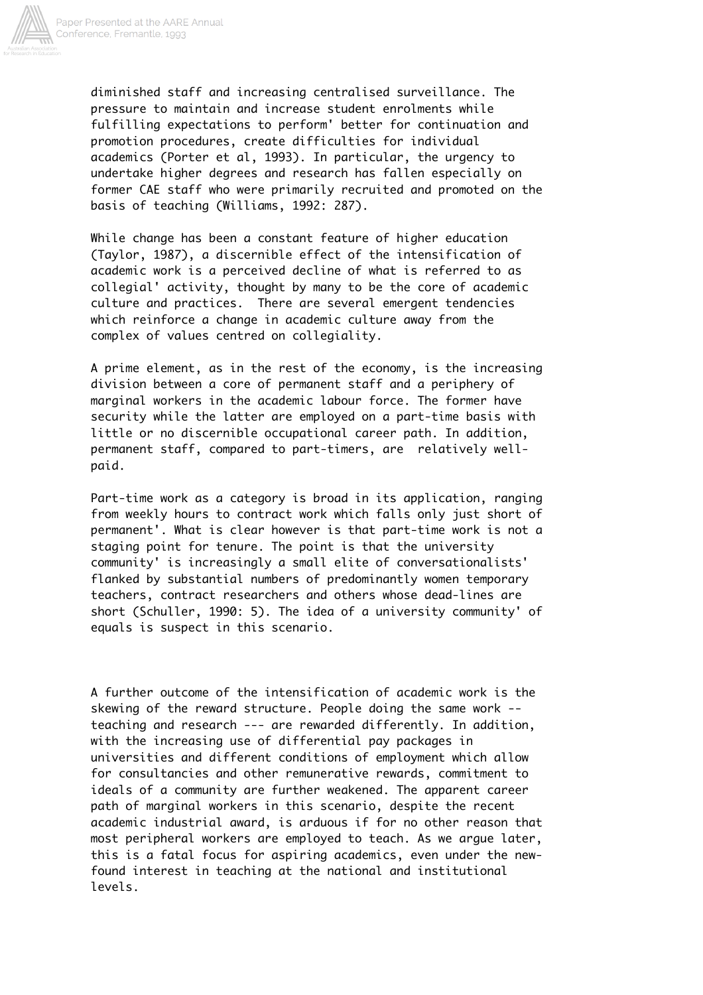

diminished staff and increasing centralised surveillance. The pressure to maintain and increase student enrolments while fulfilling expectations to perform' better for continuation and promotion procedures, create difficulties for individual academics (Porter et al, 1993). In particular, the urgency to undertake higher degrees and research has fallen especially on former CAE staff who were primarily recruited and promoted on the basis of teaching (Williams, 1992: 287).

While change has been a constant feature of higher education (Taylor, 1987), a discernible effect of the intensification of academic work is a perceived decline of what is referred to as collegial' activity, thought by many to be the core of academic culture and practices. There are several emergent tendencies which reinforce a change in academic culture away from the complex of values centred on collegiality.

A prime element, as in the rest of the economy, is the increasing division between a core of permanent staff and a periphery of marginal workers in the academic labour force. The former have security while the latter are employed on a part-time basis with little or no discernible occupational career path. In addition, permanent staff, compared to part-timers, are relatively wellpaid.

Part-time work as a category is broad in its application, ranging from weekly hours to contract work which falls only just short of permanent'. What is clear however is that part-time work is not a staging point for tenure. The point is that the university community' is increasingly a small elite of conversationalists' flanked by substantial numbers of predominantly women temporary teachers, contract researchers and others whose dead-lines are short (Schuller, 1990: 5). The idea of a university community' of equals is suspect in this scenario.

A further outcome of the intensification of academic work is the skewing of the reward structure. People doing the same work - teaching and research --- are rewarded differently. In addition, with the increasing use of differential pay packages in universities and different conditions of employment which allow for consultancies and other remunerative rewards, commitment to ideals of a community are further weakened. The apparent career path of marginal workers in this scenario, despite the recent academic industrial award, is arduous if for no other reason that most peripheral workers are employed to teach. As we argue later, this is a fatal focus for aspiring academics, even under the newfound interest in teaching at the national and institutional levels.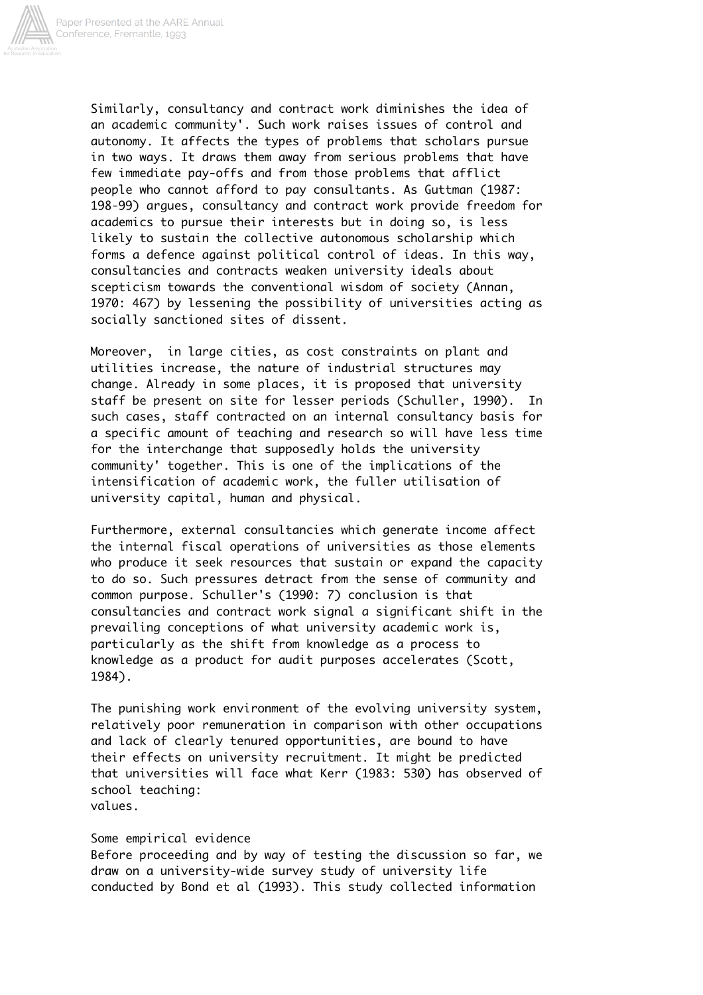

Similarly, consultancy and contract work diminishes the idea of an academic community'. Such work raises issues of control and autonomy. It affects the types of problems that scholars pursue in two ways. It draws them away from serious problems that have few immediate pay-offs and from those problems that afflict people who cannot afford to pay consultants. As Guttman (1987: 198-99) argues, consultancy and contract work provide freedom for academics to pursue their interests but in doing so, is less likely to sustain the collective autonomous scholarship which forms a defence against political control of ideas. In this way, consultancies and contracts weaken university ideals about scepticism towards the conventional wisdom of society (Annan, 1970: 467) by lessening the possibility of universities acting as socially sanctioned sites of dissent.

Moreover, in large cities, as cost constraints on plant and utilities increase, the nature of industrial structures may change. Already in some places, it is proposed that university staff be present on site for lesser periods (Schuller, 1990). In such cases, staff contracted on an internal consultancy basis for a specific amount of teaching and research so will have less time for the interchange that supposedly holds the university community' together. This is one of the implications of the intensification of academic work, the fuller utilisation of university capital, human and physical.

Furthermore, external consultancies which generate income affect the internal fiscal operations of universities as those elements who produce it seek resources that sustain or expand the capacity to do so. Such pressures detract from the sense of community and common purpose. Schuller's (1990: 7) conclusion is that consultancies and contract work signal a significant shift in the prevailing conceptions of what university academic work is, particularly as the shift from knowledge as a process to knowledge as a product for audit purposes accelerates (Scott, 1984).

The punishing work environment of the evolving university system, relatively poor remuneration in comparison with other occupations and lack of clearly tenured opportunities, are bound to have their effects on university recruitment. It might be predicted that universities will face what Kerr (1983: 530) has observed of school teaching:

values.

## Some empirical evidence

Before proceeding and by way of testing the discussion so far, we draw on a university-wide survey study of university life conducted by Bond et al (1993). This study collected information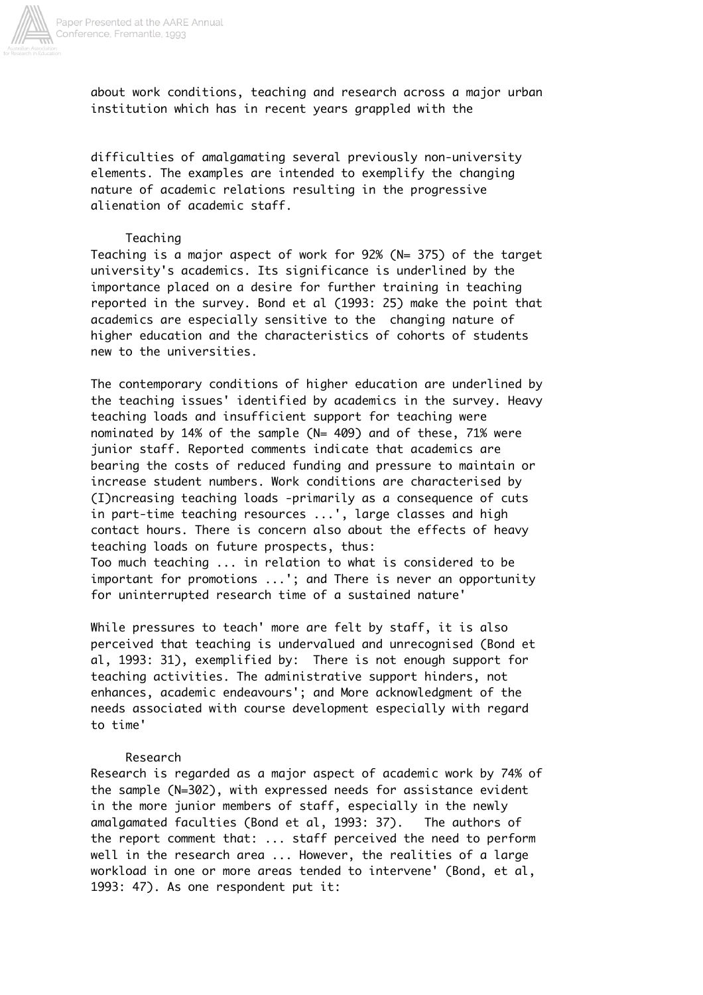

about work conditions, teaching and research across a major urban institution which has in recent years grappled with the

difficulties of amalgamating several previously non-university elements. The examples are intended to exemplify the changing nature of academic relations resulting in the progressive alienation of academic staff.

### Teaching

Teaching is a major aspect of work for 92% (N= 375) of the target university's academics. Its significance is underlined by the importance placed on a desire for further training in teaching reported in the survey. Bond et al (1993: 25) make the point that academics are especially sensitive to the changing nature of higher education and the characteristics of cohorts of students new to the universities.

The contemporary conditions of higher education are underlined by the teaching issues' identified by academics in the survey. Heavy teaching loads and insufficient support for teaching were nominated by 14% of the sample (N= 409) and of these, 71% were junior staff. Reported comments indicate that academics are bearing the costs of reduced funding and pressure to maintain or increase student numbers. Work conditions are characterised by (I)ncreasing teaching loads -primarily as a consequence of cuts in part-time teaching resources ...', large classes and high contact hours. There is concern also about the effects of heavy teaching loads on future prospects, thus: Too much teaching ... in relation to what is considered to be important for promotions ...'; and There is never an opportunity for uninterrupted research time of a sustained nature'

While pressures to teach' more are felt by staff, it is also perceived that teaching is undervalued and unrecognised (Bond et al, 1993: 31), exemplified by: There is not enough support for teaching activities. The administrative support hinders, not enhances, academic endeavours'; and More acknowledgment of the needs associated with course development especially with regard to time'

### Research

Research is regarded as a major aspect of academic work by 74% of the sample (N=302), with expressed needs for assistance evident in the more junior members of staff, especially in the newly amalgamated faculties (Bond et al, 1993: 37). The authors of the report comment that: ... staff perceived the need to perform well in the research area ... However, the realities of a large workload in one or more areas tended to intervene' (Bond, et al, 1993: 47). As one respondent put it: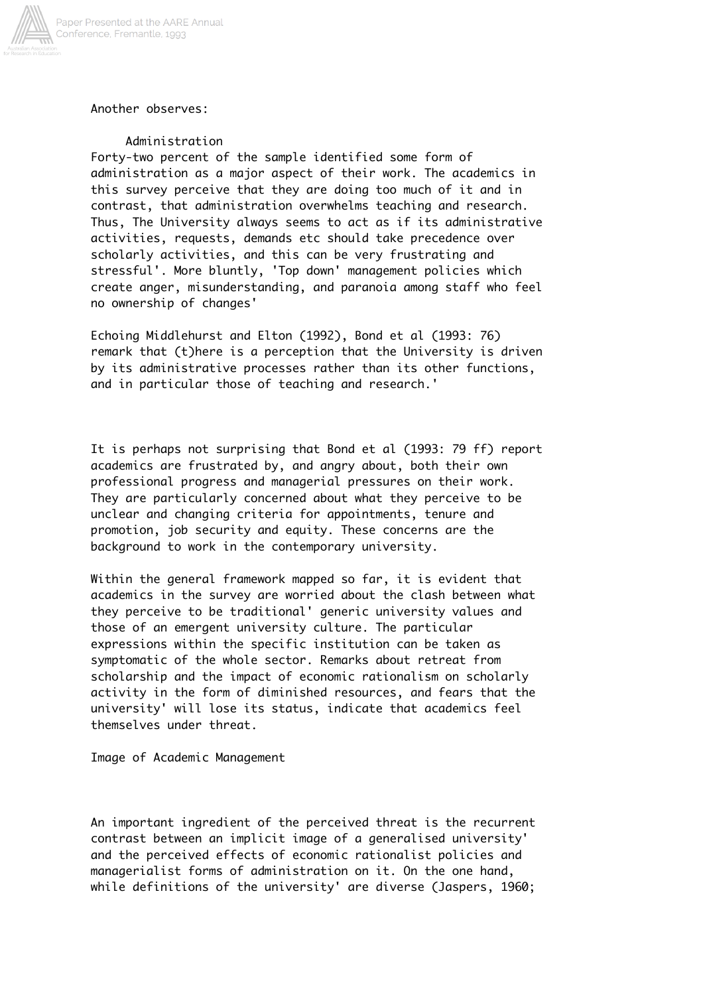

# Another observes:

## Administration

Forty-two percent of the sample identified some form of administration as a major aspect of their work. The academics in this survey perceive that they are doing too much of it and in contrast, that administration overwhelms teaching and research. Thus, The University always seems to act as if its administrative activities, requests, demands etc should take precedence over scholarly activities, and this can be very frustrating and stressful'. More bluntly, 'Top down' management policies which create anger, misunderstanding, and paranoia among staff who feel no ownership of changes'

Echoing Middlehurst and Elton (1992), Bond et al (1993: 76) remark that (t)here is a perception that the University is driven by its administrative processes rather than its other functions, and in particular those of teaching and research.'

It is perhaps not surprising that Bond et al (1993: 79 ff) report academics are frustrated by, and angry about, both their own professional progress and managerial pressures on their work. They are particularly concerned about what they perceive to be unclear and changing criteria for appointments, tenure and promotion, job security and equity. These concerns are the background to work in the contemporary university.

Within the general framework mapped so far, it is evident that academics in the survey are worried about the clash between what they perceive to be traditional' generic university values and those of an emergent university culture. The particular expressions within the specific institution can be taken as symptomatic of the whole sector. Remarks about retreat from scholarship and the impact of economic rationalism on scholarly activity in the form of diminished resources, and fears that the university' will lose its status, indicate that academics feel themselves under threat.

Image of Academic Management

An important ingredient of the perceived threat is the recurrent contrast between an implicit image of a generalised university' and the perceived effects of economic rationalist policies and managerialist forms of administration on it. On the one hand, while definitions of the university' are diverse (Jaspers, 1960;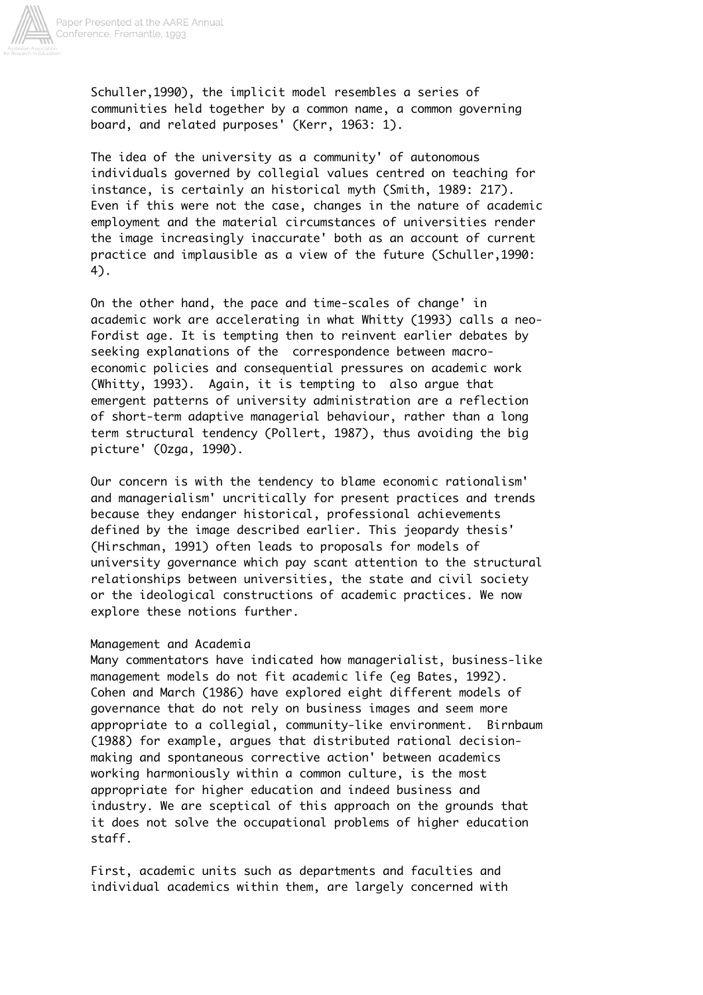

Schuller,1990), the implicit model resembles a series of communities held together by a common name, a common governing board, and related purposes' (Kerr, 1963: 1).

The idea of the university as a community' of autonomous individuals governed by collegial values centred on teaching for instance, is certainly an historical myth (Smith, 1989: 217). Even if this were not the case, changes in the nature of academic employment and the material circumstances of universities render the image increasingly inaccurate' both as an account of current practice and implausible as a view of the future (Schuller,1990: 4).

On the other hand, the pace and time-scales of change' in academic work are accelerating in what Whitty (1993) calls a neo-Fordist age. It is tempting then to reinvent earlier debates by seeking explanations of the correspondence between macroeconomic policies and consequential pressures on academic work (Whitty, 1993). Again, it is tempting to also argue that emergent patterns of university administration are a reflection of short-term adaptive managerial behaviour, rather than a long term structural tendency (Pollert, 1987), thus avoiding the big picture' (Ozga, 1990).

Our concern is with the tendency to blame economic rationalism' and managerialism' uncritically for present practices and trends because they endanger historical, professional achievements defined by the image described earlier. This jeopardy thesis' (Hirschman, 1991) often leads to proposals for models of university governance which pay scant attention to the structural relationships between universities, the state and civil society or the ideological constructions of academic practices. We now explore these notions further.

## Management and Academia

Many commentators have indicated how managerialist, business-like management models do not fit academic life (eg Bates, 1992). Cohen and March (1986) have explored eight different models of governance that do not rely on business images and seem more appropriate to a collegial, community-like environment. Birnbaum (1988) for example, argues that distributed rational decisionmaking and spontaneous corrective action' between academics working harmoniously within a common culture, is the most appropriate for higher education and indeed business and industry. We are sceptical of this approach on the grounds that it does not solve the occupational problems of higher education staff.

First, academic units such as departments and faculties and individual academics within them, are largely concerned with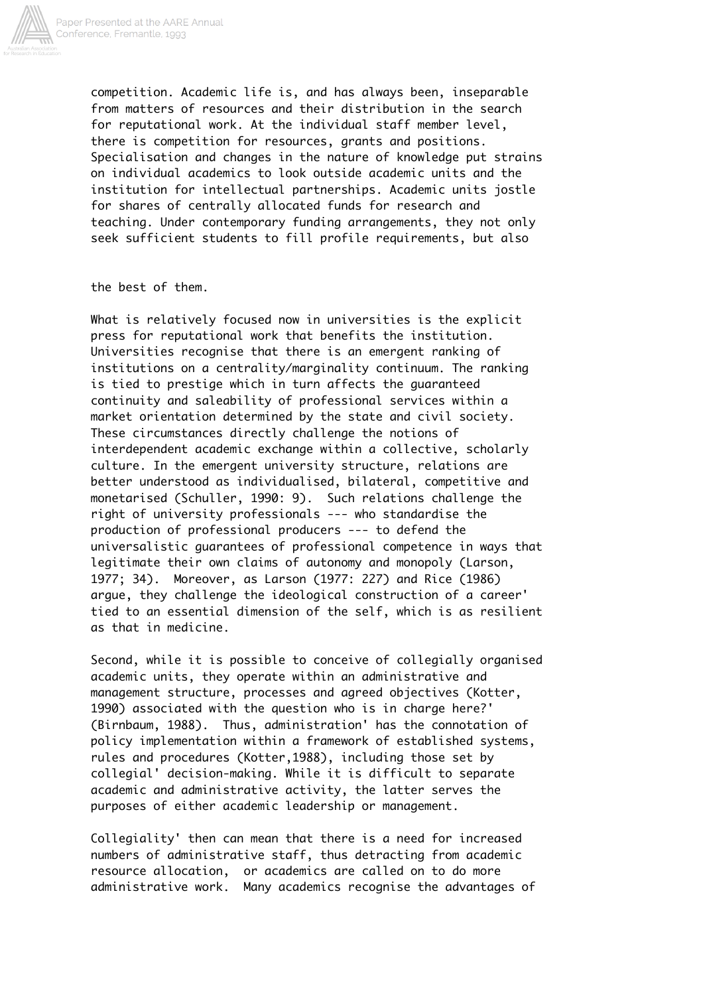

competition. Academic life is, and has always been, inseparable from matters of resources and their distribution in the search for reputational work. At the individual staff member level, there is competition for resources, grants and positions. Specialisation and changes in the nature of knowledge put strains on individual academics to look outside academic units and the institution for intellectual partnerships. Academic units jostle for shares of centrally allocated funds for research and teaching. Under contemporary funding arrangements, they not only seek sufficient students to fill profile requirements, but also

## the best of them.

What is relatively focused now in universities is the explicit press for reputational work that benefits the institution. Universities recognise that there is an emergent ranking of institutions on a centrality/marginality continuum. The ranking is tied to prestige which in turn affects the guaranteed continuity and saleability of professional services within a market orientation determined by the state and civil society. These circumstances directly challenge the notions of interdependent academic exchange within a collective, scholarly culture. In the emergent university structure, relations are better understood as individualised, bilateral, competitive and monetarised (Schuller, 1990: 9). Such relations challenge the right of university professionals --- who standardise the production of professional producers --- to defend the universalistic guarantees of professional competence in ways that legitimate their own claims of autonomy and monopoly (Larson, 1977; 34). Moreover, as Larson (1977: 227) and Rice (1986) argue, they challenge the ideological construction of a career' tied to an essential dimension of the self, which is as resilient as that in medicine.

Second, while it is possible to conceive of collegially organised academic units, they operate within an administrative and management structure, processes and agreed objectives (Kotter, 1990) associated with the question who is in charge here?' (Birnbaum, 1988). Thus, administration' has the connotation of policy implementation within a framework of established systems, rules and procedures (Kotter,1988), including those set by collegial' decision-making. While it is difficult to separate academic and administrative activity, the latter serves the purposes of either academic leadership or management.

Collegiality' then can mean that there is a need for increased numbers of administrative staff, thus detracting from academic resource allocation, or academics are called on to do more administrative work. Many academics recognise the advantages of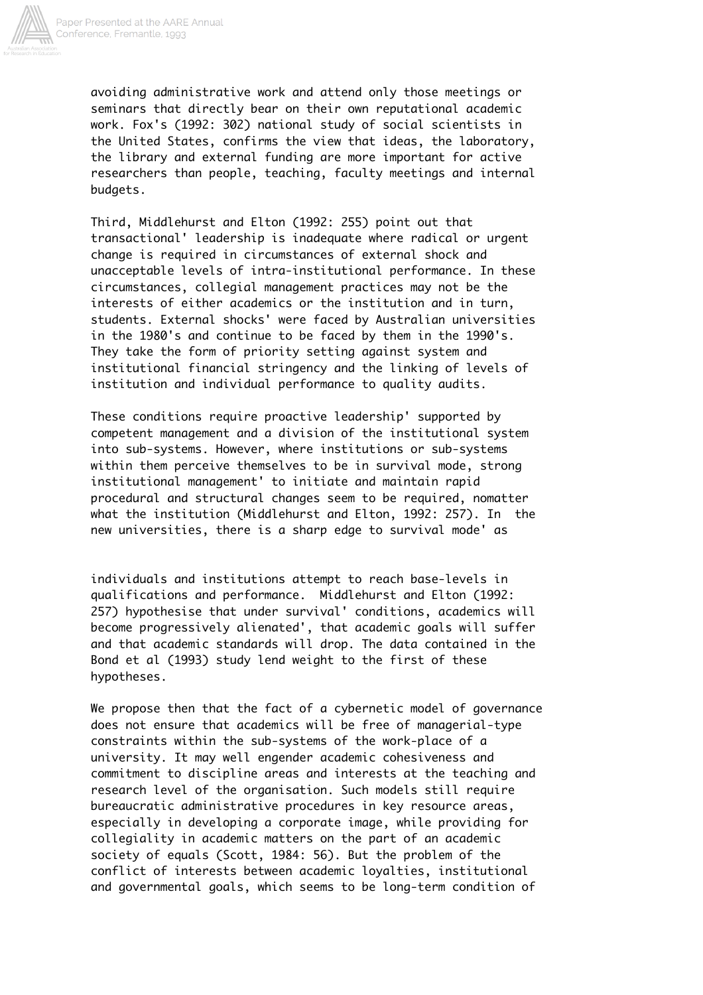

avoiding administrative work and attend only those meetings or seminars that directly bear on their own reputational academic work. Fox's (1992: 302) national study of social scientists in the United States, confirms the view that ideas, the laboratory, the library and external funding are more important for active researchers than people, teaching, faculty meetings and internal budgets.

Third, Middlehurst and Elton (1992: 255) point out that transactional' leadership is inadequate where radical or urgent change is required in circumstances of external shock and unacceptable levels of intra-institutional performance. In these circumstances, collegial management practices may not be the interests of either academics or the institution and in turn, students. External shocks' were faced by Australian universities in the 1980's and continue to be faced by them in the 1990's. They take the form of priority setting against system and institutional financial stringency and the linking of levels of institution and individual performance to quality audits.

These conditions require proactive leadership' supported by competent management and a division of the institutional system into sub-systems. However, where institutions or sub-systems within them perceive themselves to be in survival mode, strong institutional management' to initiate and maintain rapid procedural and structural changes seem to be required, nomatter what the institution (Middlehurst and Elton, 1992: 257). In the new universities, there is a sharp edge to survival mode' as

individuals and institutions attempt to reach base-levels in qualifications and performance. Middlehurst and Elton (1992: 257) hypothesise that under survival' conditions, academics will become progressively alienated', that academic goals will suffer and that academic standards will drop. The data contained in the Bond et al (1993) study lend weight to the first of these hypotheses.

We propose then that the fact of a cybernetic model of governance does not ensure that academics will be free of managerial-type constraints within the sub-systems of the work-place of a university. It may well engender academic cohesiveness and commitment to discipline areas and interests at the teaching and research level of the organisation. Such models still require bureaucratic administrative procedures in key resource areas, especially in developing a corporate image, while providing for collegiality in academic matters on the part of an academic society of equals (Scott, 1984: 56). But the problem of the conflict of interests between academic loyalties, institutional and governmental goals, which seems to be long-term condition of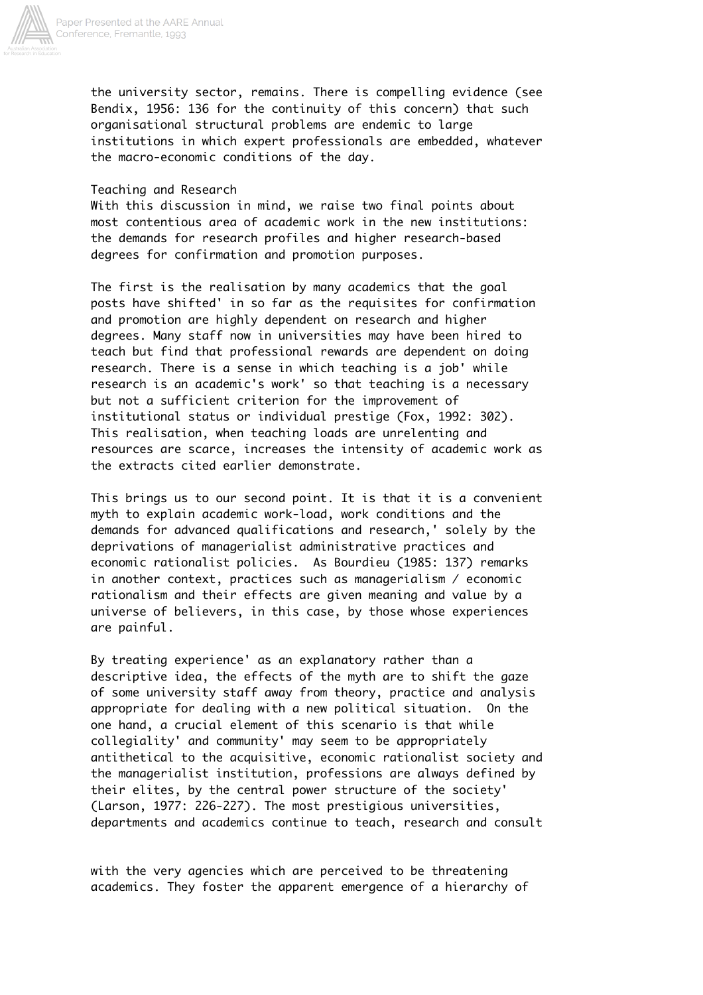

the university sector, remains. There is compelling evidence (see Bendix, 1956: 136 for the continuity of this concern) that such organisational structural problems are endemic to large institutions in which expert professionals are embedded, whatever the macro-economic conditions of the day.

## Teaching and Research

With this discussion in mind, we raise two final points about most contentious area of academic work in the new institutions: the demands for research profiles and higher research-based degrees for confirmation and promotion purposes.

The first is the realisation by many academics that the goal posts have shifted' in so far as the requisites for confirmation and promotion are highly dependent on research and higher degrees. Many staff now in universities may have been hired to teach but find that professional rewards are dependent on doing research. There is a sense in which teaching is a job' while research is an academic's work' so that teaching is a necessary but not a sufficient criterion for the improvement of institutional status or individual prestige (Fox, 1992: 302). This realisation, when teaching loads are unrelenting and resources are scarce, increases the intensity of academic work as the extracts cited earlier demonstrate.

This brings us to our second point. It is that it is a convenient myth to explain academic work-load, work conditions and the demands for advanced qualifications and research,' solely by the deprivations of managerialist administrative practices and economic rationalist policies. As Bourdieu (1985: 137) remarks in another context, practices such as managerialism / economic rationalism and their effects are given meaning and value by a universe of believers, in this case, by those whose experiences are painful.

By treating experience' as an explanatory rather than a descriptive idea, the effects of the myth are to shift the gaze of some university staff away from theory, practice and analysis appropriate for dealing with a new political situation. On the one hand, a crucial element of this scenario is that while collegiality' and community' may seem to be appropriately antithetical to the acquisitive, economic rationalist society and the managerialist institution, professions are always defined by their elites, by the central power structure of the society' (Larson, 1977: 226-227). The most prestigious universities, departments and academics continue to teach, research and consult

with the very agencies which are perceived to be threatening academics. They foster the apparent emergence of a hierarchy of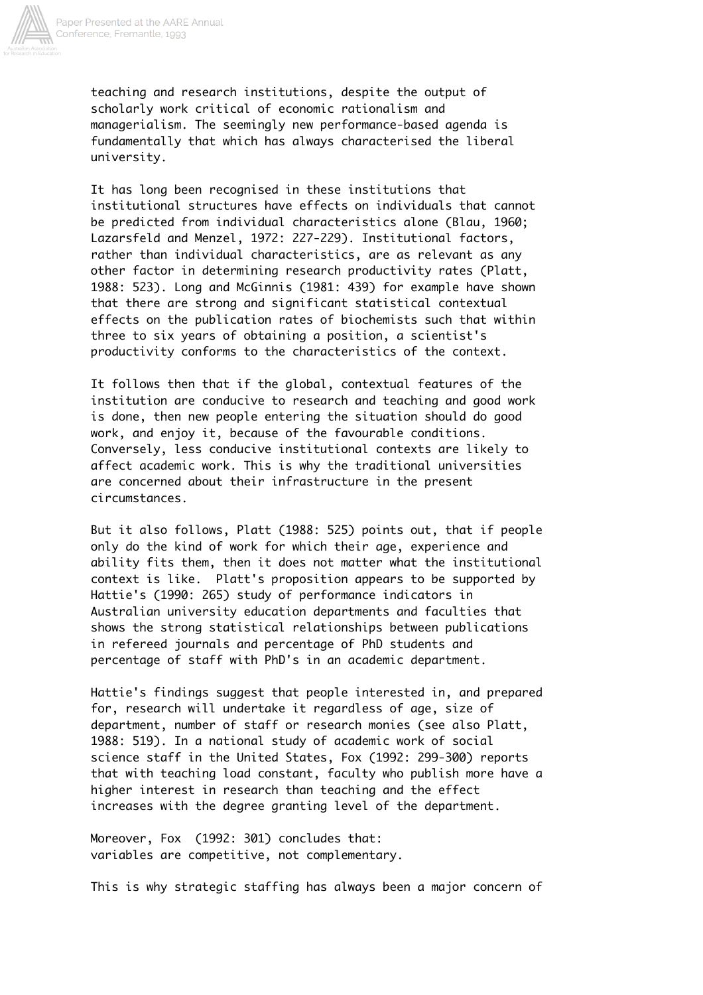

teaching and research institutions, despite the output of scholarly work critical of economic rationalism and managerialism. The seemingly new performance-based agenda is fundamentally that which has always characterised the liberal university.

It has long been recognised in these institutions that institutional structures have effects on individuals that cannot be predicted from individual characteristics alone (Blau, 1960; Lazarsfeld and Menzel, 1972: 227-229). Institutional factors, rather than individual characteristics, are as relevant as any other factor in determining research productivity rates (Platt, 1988: 523). Long and McGinnis (1981: 439) for example have shown that there are strong and significant statistical contextual effects on the publication rates of biochemists such that within three to six years of obtaining a position, a scientist's productivity conforms to the characteristics of the context.

It follows then that if the global, contextual features of the institution are conducive to research and teaching and good work is done, then new people entering the situation should do good work, and enjoy it, because of the favourable conditions. Conversely, less conducive institutional contexts are likely to affect academic work. This is why the traditional universities are concerned about their infrastructure in the present circumstances.

But it also follows, Platt (1988: 525) points out, that if people only do the kind of work for which their age, experience and ability fits them, then it does not matter what the institutional context is like. Platt's proposition appears to be supported by Hattie's (1990: 265) study of performance indicators in Australian university education departments and faculties that shows the strong statistical relationships between publications in refereed journals and percentage of PhD students and percentage of staff with PhD's in an academic department.

Hattie's findings suggest that people interested in, and prepared for, research will undertake it regardless of age, size of department, number of staff or research monies (see also Platt, 1988: 519). In a national study of academic work of social science staff in the United States, Fox (1992: 299-300) reports that with teaching load constant, faculty who publish more have a higher interest in research than teaching and the effect increases with the degree granting level of the department.

Moreover, Fox (1992: 301) concludes that: variables are competitive, not complementary.

This is why strategic staffing has always been a major concern of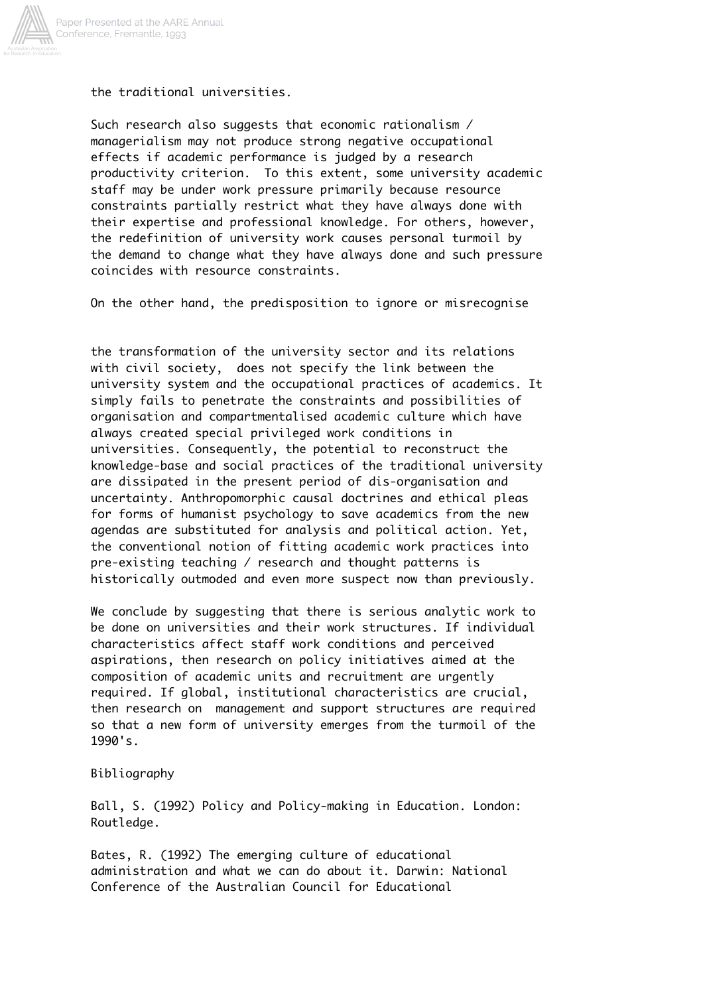

the traditional universities.

Such research also suggests that economic rationalism / managerialism may not produce strong negative occupational effects if academic performance is judged by a research productivity criterion. To this extent, some university academic staff may be under work pressure primarily because resource constraints partially restrict what they have always done with their expertise and professional knowledge. For others, however, the redefinition of university work causes personal turmoil by the demand to change what they have always done and such pressure coincides with resource constraints.

On the other hand, the predisposition to ignore or misrecognise

the transformation of the university sector and its relations with civil society, does not specify the link between the university system and the occupational practices of academics. It simply fails to penetrate the constraints and possibilities of organisation and compartmentalised academic culture which have always created special privileged work conditions in universities. Consequently, the potential to reconstruct the knowledge-base and social practices of the traditional university are dissipated in the present period of dis-organisation and uncertainty. Anthropomorphic causal doctrines and ethical pleas for forms of humanist psychology to save academics from the new agendas are substituted for analysis and political action. Yet, the conventional notion of fitting academic work practices into pre-existing teaching / research and thought patterns is historically outmoded and even more suspect now than previously.

We conclude by suggesting that there is serious analytic work to be done on universities and their work structures. If individual characteristics affect staff work conditions and perceived aspirations, then research on policy initiatives aimed at the composition of academic units and recruitment are urgently required. If global, institutional characteristics are crucial, then research on management and support structures are required so that a new form of university emerges from the turmoil of the 1990's.

Bibliography

Ball, S. (1992) Policy and Policy-making in Education. London: Routledge.

Bates, R. (1992) The emerging culture of educational administration and what we can do about it. Darwin: National Conference of the Australian Council for Educational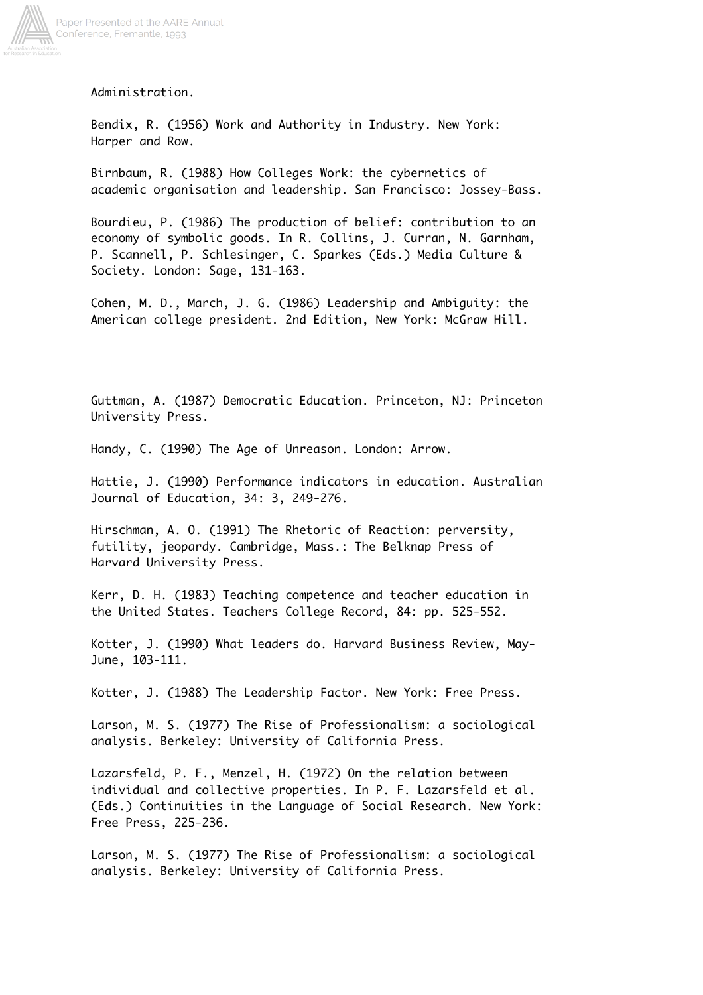

Administration.

Bendix, R. (1956) Work and Authority in Industry. New York: Harper and Row.

Birnbaum, R. (1988) How Colleges Work: the cybernetics of academic organisation and leadership. San Francisco: Jossey-Bass.

Bourdieu, P. (1986) The production of belief: contribution to an economy of symbolic goods. In R. Collins, J. Curran, N. Garnham, P. Scannell, P. Schlesinger, C. Sparkes (Eds.) Media Culture & Society. London: Sage, 131-163.

Cohen, M. D., March, J. G. (1986) Leadership and Ambiguity: the American college president. 2nd Edition, New York: McGraw Hill.

Guttman, A. (1987) Democratic Education. Princeton, NJ: Princeton University Press.

Handy, C. (1990) The Age of Unreason. London: Arrow.

Hattie, J. (1990) Performance indicators in education. Australian Journal of Education, 34: 3, 249-276.

Hirschman, A. O. (1991) The Rhetoric of Reaction: perversity, futility, jeopardy. Cambridge, Mass.: The Belknap Press of Harvard University Press.

Kerr, D. H. (1983) Teaching competence and teacher education in the United States. Teachers College Record, 84: pp. 525-552.

Kotter, J. (1990) What leaders do. Harvard Business Review, May-June, 103-111.

Kotter, J. (1988) The Leadership Factor. New York: Free Press.

Larson, M. S. (1977) The Rise of Professionalism: a sociological analysis. Berkeley: University of California Press.

Lazarsfeld, P. F., Menzel, H. (1972) On the relation between individual and collective properties. In P. F. Lazarsfeld et al. (Eds.) Continuities in the Language of Social Research. New York: Free Press, 225-236.

Larson, M. S. (1977) The Rise of Professionalism: a sociological analysis. Berkeley: University of California Press.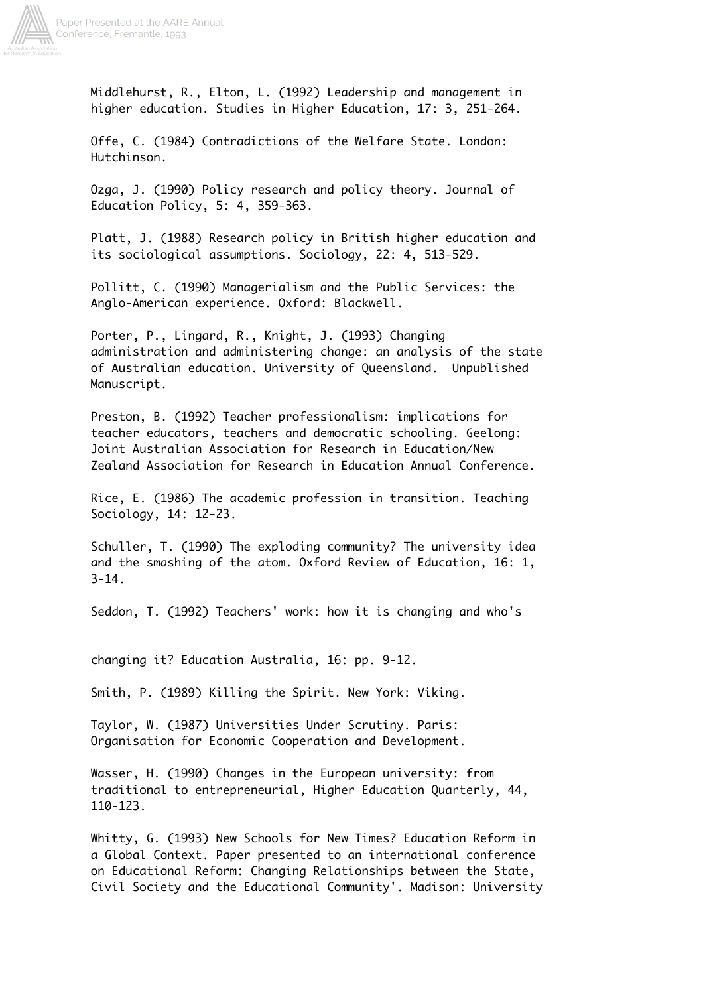

Middlehurst, R., Elton, L. (1992) Leadership and management in higher education. Studies in Higher Education, 17: 3, 251-264.

Offe, C. (1984) Contradictions of the Welfare State. London: Hutchinson.

Ozga, J. (1990) Policy research and policy theory. Journal of Education Policy, 5: 4, 359-363.

Platt, J. (1988) Research policy in British higher education and its sociological assumptions. Sociology, 22: 4, 513-529.

Pollitt, C. (1990) Managerialism and the Public Services: the Anglo-American experience. Oxford: Blackwell.

Porter, P., Lingard, R., Knight, J. (1993) Changing administration and administering change: an analysis of the state of Australian education. University of Queensland. Unpublished Manuscript.

Preston, B. (1992) Teacher professionalism: implications for teacher educators, teachers and democratic schooling. Geelong: Joint Australian Association for Research in Education/New Zealand Association for Research in Education Annual Conference.

Rice, E. (1986) The academic profession in transition. Teaching Sociology, 14: 12-23.

Schuller, T. (1990) The exploding community? The university idea and the smashing of the atom. Oxford Review of Education, 16: 1,  $3 - 14$ .

Seddon, T. (1992) Teachers' work: how it is changing and who's

changing it? Education Australia, 16: pp. 9-12.

Smith, P. (1989) Killing the Spirit. New York: Viking.

Taylor, W. (1987) Universities Under Scrutiny. Paris: Organisation for Economic Cooperation and Development.

Wasser, H. (1990) Changes in the European university: from traditional to entrepreneurial, Higher Education Quarterly, 44, 110-123.

Whitty, G. (1993) New Schools for New Times? Education Reform in a Global Context. Paper presented to an international conference on Educational Reform: Changing Relationships between the State, Civil Society and the Educational Community'. Madison: University